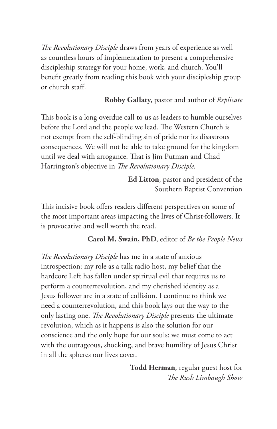*The Revolutionary Disciple* draws from years of experience as well as countless hours of implementation to present a comprehensive discipleship strategy for your home, work, and church. You'll benefit greatly from reading this book with your discipleship group or church staff.

### **Robby Gallaty**, pastor and author of *Replicate*

This book is a long overdue call to us as leaders to humble ourselves before the Lord and the people we lead. The Western Church is not exempt from the self-blinding sin of pride nor its disastrous consequences. We will not be able to take ground for the kingdom until we deal with arrogance. That is Jim Putman and Chad Harrington's objective in *The Revolutionary Disciple*.

> **Ed Litton**, pastor and president of the Southern Baptist Convention

This incisive book offers readers different perspectives on some of the most important areas impacting the lives of Christ-followers. It is provocative and well worth the read.

#### **Carol M. Swain, PhD**, editor of *Be the People News*

*The Revolutionary Disciple* has me in a state of anxious introspection: my role as a talk radio host, my belief that the hardcore Left has fallen under spiritual evil that requires us to perform a counterrevolution, and my cherished identity as a Jesus follower are in a state of collision. I continue to think we need a counterrevolution, and this book lays out the way to the only lasting one. *The Revolutionary Disciple* presents the ultimate revolution, which as it happens is also the solution for our conscience and the only hope for our souls: we must come to act with the outrageous, shocking, and brave humility of Jesus Christ in all the spheres our lives cover.

> **Todd Herman**, regular guest host for *The Rush Limbaugh Show*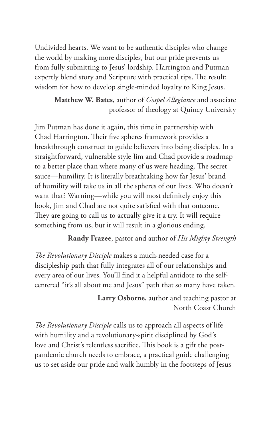Undivided hearts. We want to be authentic disciples who change the world by making more disciples, but our pride prevents us from fully submitting to Jesus' lordship. Harrington and Putman expertly blend story and Scripture with practical tips. The result: wisdom for how to develop single-minded loyalty to King Jesus.

> **Matthew W. Bates**, author of *Gospel Allegiance* and associate professor of theology at Quincy University

Jim Putman has done it again, this time in partnership with Chad Harrington. Their five spheres framework provides a breakthrough construct to guide believers into being disciples. In a straightforward, vulnerable style Jim and Chad provide a roadmap to a better place than where many of us were heading. The secret sauce—humility. It is literally breathtaking how far Jesus' brand of humility will take us in all the spheres of our lives. Who doesn't want that? Warning—while you will most definitely enjoy this book, Jim and Chad are not quite satisfied with that outcome. They are going to call us to actually give it a try. It will require something from us, but it will result in a glorious ending.

**Randy Frazee**, pastor and author of *His Mighty Strength*

*The Revolutionary Disciple* makes a much-needed case for a discipleship path that fully integrates all of our relationships and every area of our lives. You'll find it a helpful antidote to the selfcentered "it's all about me and Jesus" path that so many have taken.

> **Larry Osborne**, author and teaching pastor at North Coast Church

*The Revolutionary Disciple* calls us to approach all aspects of life with humility and a revolutionary-spirit disciplined by God's love and Christ's relentless sacrifice. This book is a gift the postpandemic church needs to embrace, a practical guide challenging us to set aside our pride and walk humbly in the footsteps of Jesus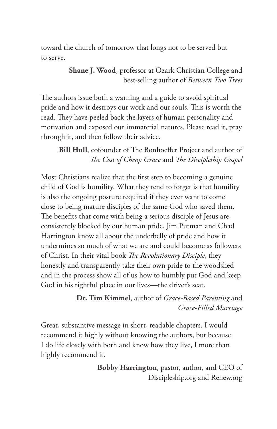toward the church of tomorrow that longs not to be served but to serve.

### **Shane J. Wood**, professor at Ozark Christian College and best-selling author of *Between Two Trees*

The authors issue both a warning and a guide to avoid spiritual pride and how it destroys our work and our souls. This is worth the read. They have peeled back the layers of human personality and motivation and exposed our immaterial natures. Please read it, pray through it, and then follow their advice.

# **Bill Hull**, cofounder of The Bonhoeffer Project and author of *The Cost of Cheap Grace* and *The Discipleship Gospel*

Most Christians realize that the first step to becoming a genuine child of God is humility. What they tend to forget is that humility is also the ongoing posture required if they ever want to come close to being mature disciples of the same God who saved them. The benefits that come with being a serious disciple of Jesus are consistently blocked by our human pride. Jim Putman and Chad Harrington know all about the underbelly of pride and how it undermines so much of what we are and could become as followers of Christ. In their vital book *The Revolutionary Disciple*, they honestly and transparently take their own pride to the woodshed and in the process show all of us how to humbly put God and keep God in his rightful place in our lives—the driver's seat.

### **Dr. Tim Kimmel**, author of *Grace-Based Parenting* and *Grace-Filled Marriage*

Great, substantive message in short, readable chapters. I would recommend it highly without knowing the authors, but because I do life closely with both and know how they live, I more than highly recommend it.

> **Bobby Harrington**, pastor, author, and CEO of Discipleship.org and Renew.org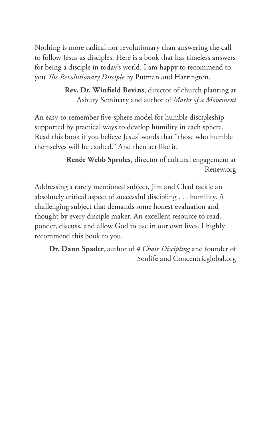Nothing is more radical nor revolutionary than answering the call to follow Jesus as disciples. Here is a book that has timeless answers for being a disciple in today's world. I am happy to recommend to you *The Revolutionary Disciple* by Putman and Harrington.

> **Rev. Dr. Winfield Bevins**, director of church planting at Asbury Seminary and author of *Marks of a Movement*

An easy-to-remember five-sphere model for humble discipleship supported by practical ways to develop humility in each sphere. Read this book if you believe Jesus' words that "those who humble themselves will be exalted." And then act like it.

> **Renée Webb Sproles**, director of cultural engagement at Renew.org

Addressing a rarely mentioned subject, Jim and Chad tackle an absolutely critical aspect of successful discipling . . . humility. A challenging subject that demands some honest evaluation and thought by every disciple maker. An excellent resource to read, ponder, discuss, and allow God to use in our own lives. I highly recommend this book to you.

**Dr. Dann Spader**, author of *4 Chair Discipling* and founder of Sonlife and Concentricglobal.org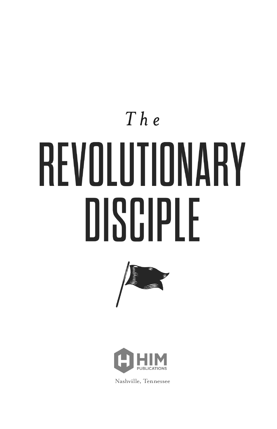# $The$ REVOLUTIONARY DISCIPLE





Nashville, Tennessee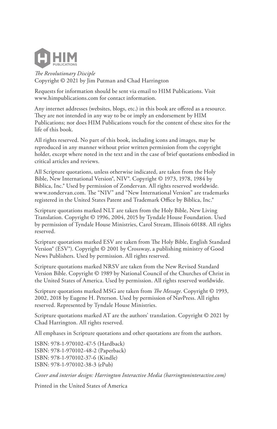

*The Revolutionary Disciple* Copyright © 2021 by Jim Putman and Chad Harrington

Requests for information should be sent via email to HIM Publications. Visit www.himpublications.com for contact information.

Any internet addresses (websites, blogs, etc.) in this book are offered as a resource. They are not intended in any way to be or imply an endorsement by HIM Publications; nor does HIM Publications vouch for the content of these sites for the life of this book.

All rights reserved. No part of this book, including icons and images, may be reproduced in any manner without prior written permission from the copyright holder, except where noted in the text and in the case of brief quotations embodied in critical articles and reviews.

All Scripture quotations, unless otherwise indicated, are taken from the Holy Bible, New International Version®, NIV®. Copyright © 1973, 1978, 1984 by Biblica, Inc.® Used by permission of Zondervan. All rights reserved worldwide. www.zondervan.com. The "NIV" and "New International Version" are trademarks registered in the United States Patent and Trademark Office by Biblica, Inc.®

Scripture quotations marked NLT are taken from the Holy Bible, New Living Translation. Copyright © 1996, 2004, 2015 by Tyndale House Foundation. Used by permission of Tyndale House Ministries, Carol Stream, Illinois 60188. All rights reserved.

Scripture quotations marked ESV are taken from The Holy Bible, English Standard Version® (ESV®). Copyright © 2001 by Crossway, a publishing ministry of Good News Publishers. Used by permission. All rights reserved.

Scripture quotations marked NRSV are taken from the New Revised Standard Version Bible. Copyright © 1989 by National Council of the Churches of Christ in the United States of America. Used by permission. All rights reserved worldwide.

Scripture quotations marked MSG are taken from *The Message*. Copyright © 1993, 2002, 2018 by Eugene H. Peterson. Used by permission of NavPress. All rights reserved. Represented by Tyndale House Ministries.

Scripture quotations marked AT are the authors' translation. Copyright © 2021 by Chad Harrington. All rights reserved.

All emphases in Scripture quotations and other quotations are from the authors.

ISBN: 978-1-970102-47-5 (Hardback) ISBN: 978-1-970102-48-2 (Paperback) ISBN: 978-1-970102-37-6 (Kindle) ISBN: 978-1-970102-38-3 (ePub)

*Cover and interior design: Harrington Interactive Media (harringtoninteractive.com)*

Printed in the United States of America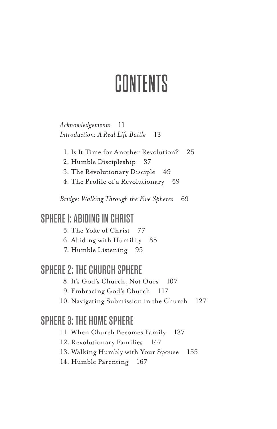# CONTENTS

*Acknowledgements* 11 *Introduction: A Real Life Battle* 13

- 1. Is It Time for Another Revolution? 25
- 2. Humble Discipleship 37
- 3. The Revolutionary Disciple 49
- 4. The Profile of a Revolutionary 59

*Bridge: Walking Through the Five Spheres* 69

# SPHERE 1: ABIDING IN CHRIST

5. The Yoke of Christ 77

6. Abiding with Humility 85

7. Humble Listening 95

# SPHERE 2: THE CHURCH SPHERE

8. It's God's Church, Not Ours 107

- 9. Embracing God's Church 117
- 10. Navigating Submission in the Church 127

# SPHERE 3: THE HOME SPHERE

11. When Church Becomes Family 137

12. Revolutionary Families 147

13. Walking Humbly with Your Spouse 155

14. Humble Parenting 167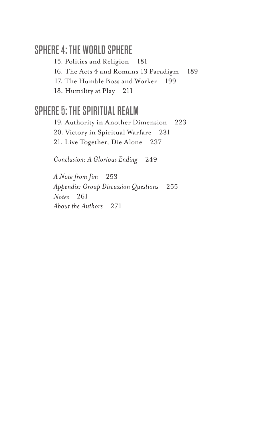# SPHERE 4: THE WORLD SPHERE

15. Politics and Religion 181

16. The Acts 4 and Romans 13 Paradigm 189

17. The Humble Boss and Worker 199

18. Humility at Play 211

# SPHERE 5: THE SPIRITUAL REALM

19. Authority in Another Dimension 223 20. Victory in Spiritual Warfare 231 21. Live Together, Die Alone 237

*Conclusion: A Glorious Ending* 249

*A Note from Jim* 253 *Appendix: Group Discussion Questions* 255 *Notes* 261 *About the Authors* 271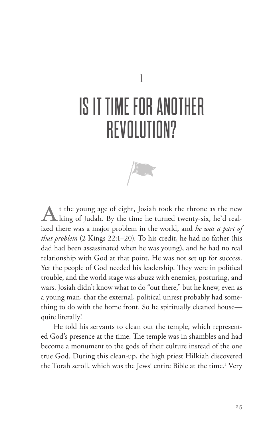# IS IT TIME FOR ANOTHER **REVOLUTION?**



t the young age of eight, Josiah took the throne as the new  $\blacktriangle$  king of Judah. By the time he turned twenty-six, he'd realized there was a major problem in the world, and *he was a part of that problem* (2 Kings 22:1–20). To his credit, he had no father (his dad had been assassinated when he was young), and he had no real relationship with God at that point. He was not set up for success. Yet the people of God needed his leadership. They were in political trouble, and the world stage was abuzz with enemies, posturing, and wars. Josiah didn't know what to do "out there," but he knew, even as a young man, that the external, political unrest probably had something to do with the home front. So he spiritually cleaned house quite literally!

He told his servants to clean out the temple, which represented God's presence at the time. The temple was in shambles and had become a monument to the gods of their culture instead of the one true God. During this clean-up, the high priest Hilkiah discovered the Torah scroll, which was the Jews' entire Bible at the time.<sup>1</sup> Very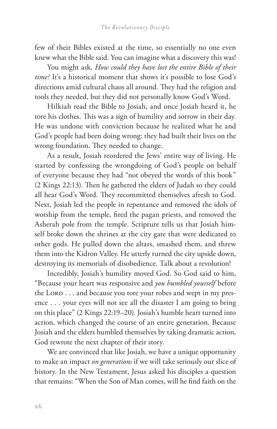few of their Bibles existed at the time, so essentially no one even knew what the Bible said. You can imagine what a discovery this was!

You might ask, *How could they have lost the entire Bible of their time?* It's a historical moment that shows it's possible to lose God's directions amid cultural chaos all around. They had the religion and tools they needed, but they did not personally know God's Word.

Hilkiah read the Bible to Josiah, and once Josiah heard it, he tore his clothes. This was a sign of humility and sorrow in their day. He was undone with conviction because he realized what he and God's people had been doing wrong: they had built their lives on the wrong foundation. They needed to change.

As a result, Josiah reordered the Jews' entire way of living. He started by confessing the wrongdoing of God's people on behalf of everyone because they had "not obeyed the words of this book" (2 Kings 22:13). Then he gathered the elders of Judah so they could all hear God's Word. They recommitted themselves afresh to God. Next, Josiah led the people in repentance and removed the idols of worship from the temple, fired the pagan priests, and removed the Asherah pole from the temple. Scripture tells us that Josiah himself broke down the shrines at the city gate that were dedicated to other gods. He pulled down the altars, smashed them, and threw them into the Kidron Valley. He utterly turned the city upside down, destroying its memorials of disobedience. Talk about a revolution!

Incredibly, Josiah's humility moved God. So God said to him, "Because your heart was responsive and *you humbled yourself* before the LORD . . . and because you tore your robes and wept in my presence . . . your eyes will not see all the disaster I am going to bring on this place" (2 Kings 22:19–20). Josiah's humble heart turned into action, which changed the course of an entire generation. Because Josiah and the elders humbled themselves by taking dramatic action, God rewrote the next chapter of their story.

We are convinced that like Josiah, we have a unique opportunity to make an impact *on generations* if we will take seriously our slice of history. In the New Testament, Jesus asked his disciples a question that remains: "When the Son of Man comes, will he find faith on the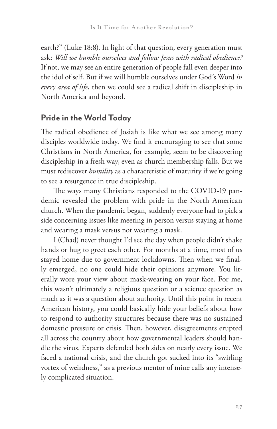earth?" (Luke 18:8). In light of that question, every generation must ask: *Will we humble ourselves and follow Jesus with radical obedience?*  If not, we may see an entire generation of people fall even deeper into the idol of self. But if we will humble ourselves under God's Word *in every area of life*, then we could see a radical shift in discipleship in North America and beyond.

## **Pride in the World Today**

The radical obedience of Josiah is like what we see among many disciples worldwide today. We find it encouraging to see that some Christians in North America, for example, seem to be discovering discipleship in a fresh way, even as church membership falls. But we must rediscover *humility* as a characteristic of maturity if we're going to see a resurgence in true discipleship.

The ways many Christians responded to the COVID-19 pandemic revealed the problem with pride in the North American church. When the pandemic began, suddenly everyone had to pick a side concerning issues like meeting in person versus staying at home and wearing a mask versus not wearing a mask.

I (Chad) never thought I'd see the day when people didn't shake hands or hug to greet each other. For months at a time, most of us stayed home due to government lockdowns. Then when we finally emerged, no one could hide their opinions anymore. You literally wore your view about mask-wearing on your face. For me, this wasn't ultimately a religious question or a science question as much as it was a question about authority. Until this point in recent American history, you could basically hide your beliefs about how to respond to authority structures because there was no sustained domestic pressure or crisis. Then, however, disagreements erupted all across the country about how governmental leaders should handle the virus. Experts defended both sides on nearly every issue. We faced a national crisis, and the church got sucked into its "swirling vortex of weirdness," as a previous mentor of mine calls any intensely complicated situation.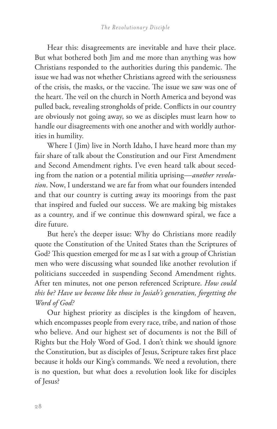Hear this: disagreements are inevitable and have their place. But what bothered both Jim and me more than anything was how Christians responded to the authorities during this pandemic. The issue we had was not whether Christians agreed with the seriousness of the crisis, the masks, or the vaccine. The issue we saw was one of the heart. The veil on the church in North America and beyond was pulled back, revealing strongholds of pride. Conflicts in our country are obviously not going away, so we as disciples must learn how to handle our disagreements with one another and with worldly authorities in humility.

Where I (Jim) live in North Idaho, I have heard more than my fair share of talk about the Constitution and our First Amendment and Second Amendment rights. I've even heard talk about seceding from the nation or a potential militia uprising—*another revolution*. Now, I understand we are far from what our founders intended and that our country is cutting away its moorings from the past that inspired and fueled our success. We are making big mistakes as a country, and if we continue this downward spiral, we face a dire future.

But here's the deeper issue: Why do Christians more readily quote the Constitution of the United States than the Scriptures of God? This question emerged for me as I sat with a group of Christian men who were discussing what sounded like another revolution if politicians succeeded in suspending Second Amendment rights. After ten minutes, not one person referenced Scripture. *How could this be? Have we become like those in Josiah's generation, forgetting the Word of God?*

Our highest priority as disciples is the kingdom of heaven, which encompasses people from every race, tribe, and nation of those who believe. And our highest set of documents is not the Bill of Rights but the Holy Word of God. I don't think we should ignore the Constitution, but as disciples of Jesus, Scripture takes first place because it holds our King's commands. We need a revolution, there is no question, but what does a revolution look like for disciples of Jesus?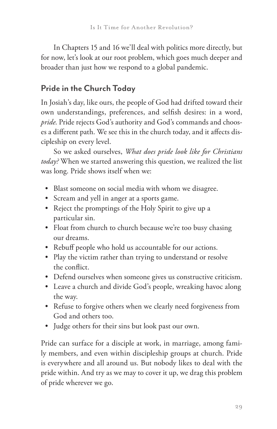In Chapters 15 and 16 we'll deal with politics more directly, but for now, let's look at our root problem, which goes much deeper and broader than just how we respond to a global pandemic.

# **Pride in the Church Today**

In Josiah's day, like ours, the people of God had drifted toward their own understandings, preferences, and selfish desires: in a word, *pride*. Pride rejects God's authority and God's commands and chooses a different path. We see this in the church today, and it affects discipleship on every level.

So we asked ourselves, *What does pride look like for Christians today?* When we started answering this question, we realized the list was long. Pride shows itself when we:

- Blast someone on social media with whom we disagree.
- Scream and yell in anger at a sports game.
- Reject the promptings of the Holy Spirit to give up a particular sin.
- Float from church to church because we're too busy chasing our dreams.
- Rebuff people who hold us accountable for our actions.
- Play the victim rather than trying to understand or resolve the conflict.
- Defend ourselves when someone gives us constructive criticism.
- Leave a church and divide God's people, wreaking havoc along the way.
- Refuse to forgive others when we clearly need forgiveness from God and others too.
- Judge others for their sins but look past our own.

Pride can surface for a disciple at work, in marriage, among family members, and even within discipleship groups at church. Pride is everywhere and all around us. But nobody likes to deal with the pride within. And try as we may to cover it up, we drag this problem of pride wherever we go.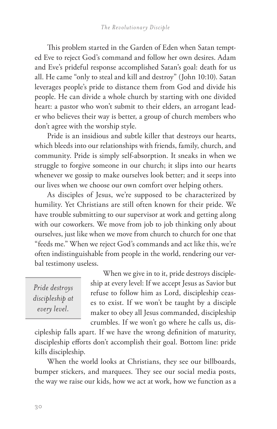This problem started in the Garden of Eden when Satan tempted Eve to reject God's command and follow her own desires. Adam and Eve's prideful response accomplished Satan's goal: death for us all. He came "only to steal and kill and destroy" (John 10:10). Satan leverages people's pride to distance them from God and divide his people. He can divide a whole church by starting with one divided heart: a pastor who won't submit to their elders, an arrogant leader who believes their way is better, a group of church members who don't agree with the worship style.

Pride is an insidious and subtle killer that destroys our hearts, which bleeds into our relationships with friends, family, church, and community. Pride is simply self-absorption. It sneaks in when we struggle to forgive someone in our church; it slips into our hearts whenever we gossip to make ourselves look better; and it seeps into our lives when we choose our own comfort over helping others.

As disciples of Jesus, we're supposed to be characterized by humility. Yet Christians are still often known for their pride. We have trouble submitting to our supervisor at work and getting along with our coworkers. We move from job to job thinking only about ourselves, just like when we move from church to church for one that "feeds me." When we reject God's commands and act like this, we're often indistinguishable from people in the world, rendering our verbal testimony useless.

*Pride destroys discipleship at every level.*

When we give in to it, pride destroys discipleship at every level: If we accept Jesus as Savior but refuse to follow him as Lord, discipleship ceases to exist. If we won't be taught by a disciple maker to obey all Jesus commanded, discipleship crumbles. If we won't go where he calls us, dis-

cipleship falls apart. If we have the wrong definition of maturity, discipleship efforts don't accomplish their goal. Bottom line: pride kills discipleship.

When the world looks at Christians, they see our billboards, bumper stickers, and marquees. They see our social media posts, the way we raise our kids, how we act at work, how we function as a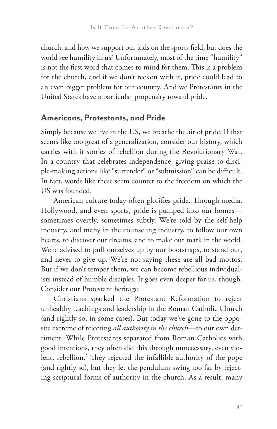church, and how we support our kids on the sports field, but does the world see humility in us? Unfortunately, most of the time "humility" is not the first word that comes to mind for them. This is a problem for the church, and if we don't reckon with it, pride could lead to an even bigger problem for our country. And we Protestants in the United States have a particular propensity toward pride.

### **Americans, Protestants, and Pride**

Simply because we live in the US, we breathe the air of pride. If that seems like too great of a generalization, consider our history, which carries with it stories of rebellion during the Revolutionary War. In a country that celebrates independence, giving praise to disciple-making actions like "surrender" or "submission" can be difficult. In fact, words like these seem counter to the freedom on which the US was founded.

American culture today often glorifies pride. Through media, Hollywood, and even sports, pride is pumped into our homes sometimes overtly, sometimes subtly. We're told by the self-help industry, and many in the counseling industry, to follow our own hearts, to discover our dreams, and to make our mark in the world. We're advised to pull ourselves up by our bootstraps, to stand out, and never to give up. We're not saying these are all bad mottos. But if we don't temper them, we can become rebellious individualists instead of humble disciples. It goes even deeper for us, though. Consider our Protestant heritage.

Christians sparked the Protestant Reformation to reject unhealthy teachings and leadership in the Roman Catholic Church (and rightly so, in some cases). But today we've gone to the opposite extreme of rejecting *all authority in the church*—to our own detriment. While Protestants separated from Roman Catholics with good intentions, they often did this through unnecessary, even violent, rebellion.2 They rejected the infallible authority of the pope (and rightly so), but they let the pendulum swing too far by rejecting scriptural forms of authority in the church. As a result, many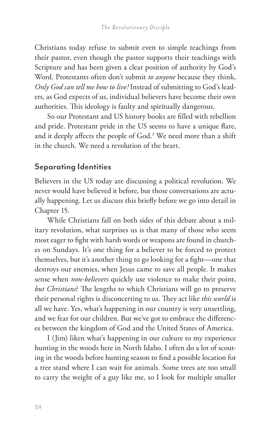Christians today refuse to submit even to simple teachings from their pastor, even though the pastor supports their teachings with Scripture and has been given a clear position of authority by God's Word. Protestants often don't submit *to anyone* because they think, *Only God can tell me how to live!* Instead of submitting to God's leaders, as God expects of us, individual believers have become their own authorities. This ideology is faulty and spiritually dangerous.

So our Protestant and US history books are filled with rebellion and pride. Protestant pride in the US seems to have a unique flare, and it deeply affects the people of  $God.^3$  We need more than a shift in the church. We need a revolution of the heart.

### **Separating Identities**

Believers in the US today are discussing a political revolution. We never would have believed it before, but those conversations are actually happening. Let us discuss this briefly before we go into detail in Chapter 15.

While Christians fall on both sides of this debate about a military revolution, what surprises us is that many of those who seem most eager to fight with harsh words or weapons are found in churches on Sundays. It's one thing for a believer to be forced to protect themselves, but it's another thing to go looking for a fight—one that destroys our enemies, when Jesus came to save all people. It makes sense when *non-believers* quickly use violence to make their point, *but Christians*? The lengths to which Christians will go to preserve their personal rights is disconcerting to us. They act like *this world* is all we have. Yes, what's happening in our country is very unsettling, and we fear for our children. But we've got to embrace the differences between the kingdom of God and the United States of America.

I (Jim) liken what's happening in our culture to my experience hunting in the woods here in North Idaho. I often do a lot of scouting in the woods before hunting season to find a possible location for a tree stand where I can wait for animals. Some trees are too small to carry the weight of a guy like me, so I look for multiple smaller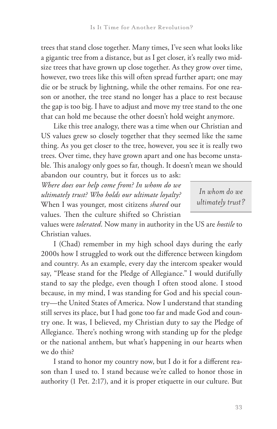trees that stand close together. Many times, I've seen what looks like a gigantic tree from a distance, but as I get closer, it's really two midsize trees that have grown up close together. As they grow over time, however, two trees like this will often spread further apart; one may die or be struck by lightning, while the other remains. For one reason or another, the tree stand no longer has a place to rest because the gap is too big. I have to adjust and move my tree stand to the one that can hold me because the other doesn't hold weight anymore.

Like this tree analogy, there was a time when our Christian and US values grew so closely together that they seemed like the same thing. As you get closer to the tree, however, you see it is really two trees. Over time, they have grown apart and one has become unstable. This analogy only goes so far, though. It doesn't mean we should

abandon our country, but it forces us to ask: *Where does our help come from? In whom do we ultimately trust? Who holds our ultimate loyalty?* When I was younger, most citizens *shared* our values. Then the culture shifted so Christian

*In whom do we ultimately trust?*

values were *tolerated*. Now many in authority in the US are *hostile* to Christian values.

I (Chad) remember in my high school days during the early 2000s how I struggled to work out the difference between kingdom and country. As an example, every day the intercom speaker would say, "Please stand for the Pledge of Allegiance." I would dutifully stand to say the pledge, even though I often stood alone. I stood because, in my mind, I was standing for God and his special country—the United States of America. Now I understand that standing still serves its place, but I had gone too far and made God and country one. It was, I believed, my Christian duty to say the Pledge of Allegiance. There's nothing wrong with standing up for the pledge or the national anthem, but what's happening in our hearts when we do this?

I stand to honor my country now, but I do it for a different reason than I used to. I stand because we're called to honor those in authority (1 Pet. 2:17), and it is proper etiquette in our culture. But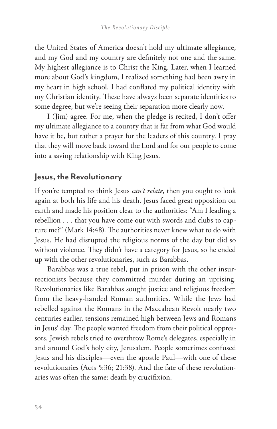the United States of America doesn't hold my ultimate allegiance, and my God and my country are definitely not one and the same. My highest allegiance is to Christ the King. Later, when I learned more about God's kingdom, I realized something had been awry in my heart in high school. I had conflated my political identity with my Christian identity. These have always been separate identities to some degree, but we're seeing their separation more clearly now.

I (Jim) agree. For me, when the pledge is recited, I don't offer my ultimate allegiance to a country that is far from what God would have it be, but rather a prayer for the leaders of this country. I pray that they will move back toward the Lord and for our people to come into a saving relationship with King Jesus.

### **Jesus, the Revolutionary**

If you're tempted to think Jesus *can't relate*, then you ought to look again at both his life and his death. Jesus faced great opposition on earth and made his position clear to the authorities: "Am I leading a rebellion . . . that you have come out with swords and clubs to capture me?" (Mark 14:48). The authorities never knew what to do with Jesus. He had disrupted the religious norms of the day but did so without violence. They didn't have a category for Jesus, so he ended up with the other revolutionaries, such as Barabbas.

Barabbas was a true rebel, put in prison with the other insurrectionists because they committed murder during an uprising. Revolutionaries like Barabbas sought justice and religious freedom from the heavy-handed Roman authorities. While the Jews had rebelled against the Romans in the Maccabean Revolt nearly two centuries earlier, tensions remained high between Jews and Romans in Jesus' day. The people wanted freedom from their political oppressors. Jewish rebels tried to overthrow Rome's delegates, especially in and around God's holy city, Jerusalem. People sometimes confused Jesus and his disciples—even the apostle Paul—with one of these revolutionaries (Acts 5:36; 21:38). And the fate of these revolutionaries was often the same: death by crucifixion.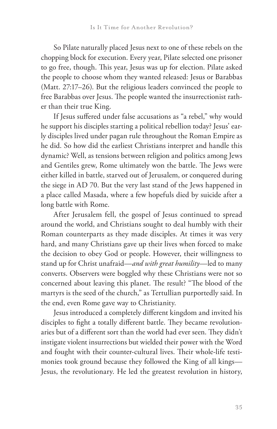So Pilate naturally placed Jesus next to one of these rebels on the chopping block for execution. Every year, Pilate selected one prisoner to go free, though. This year, Jesus was up for election. Pilate asked the people to choose whom they wanted released: Jesus or Barabbas (Matt. 27:17–26). But the religious leaders convinced the people to free Barabbas over Jesus. The people wanted the insurrectionist rather than their true King.

If Jesus suffered under false accusations as "a rebel," why would he support his disciples starting a political rebellion today? Jesus' early disciples lived under pagan rule throughout the Roman Empire as he did. So how did the earliest Christians interpret and handle this dynamic? Well, as tensions between religion and politics among Jews and Gentiles grew, Rome ultimately won the battle. The Jews were either killed in battle, starved out of Jerusalem, or conquered during the siege in AD 70. But the very last stand of the Jews happened in a place called Masada, where a few hopefuls died by suicide after a long battle with Rome.

After Jerusalem fell, the gospel of Jesus continued to spread around the world, and Christians sought to deal humbly with their Roman counterparts as they made disciples. At times it was very hard, and many Christians gave up their lives when forced to make the decision to obey God or people. However, their willingness to stand up for Christ unafraid—*and with great humility*—led to many converts. Observers were boggled why these Christians were not so concerned about leaving this planet. The result? "The blood of the martyrs is the seed of the church," as Tertullian purportedly said. In the end, even Rome gave way to Christianity.

Jesus introduced a completely different kingdom and invited his disciples to fight a totally different battle. They became revolutionaries but of a different sort than the world had ever seen. They didn't instigate violent insurrections but wielded their power with the Word and fought with their counter-cultural lives. Their whole-life testimonies took ground because they followed the King of all kings— Jesus, the revolutionary. He led the greatest revolution in history,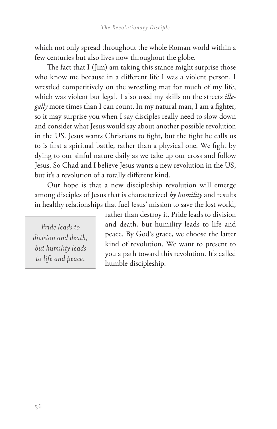which not only spread throughout the whole Roman world within a few centuries but also lives now throughout the globe.

The fact that I (Jim) am taking this stance might surprise those who know me because in a different life I was a violent person. I wrestled competitively on the wrestling mat for much of my life, which was violent but legal. I also used my skills on the streets *illegally* more times than I can count. In my natural man, I am a fighter, so it may surprise you when I say disciples really need to slow down and consider what Jesus would say about another possible revolution in the US. Jesus wants Christians to fight, but the fight he calls us to is first a spiritual battle, rather than a physical one. We fight by dying to our sinful nature daily as we take up our cross and follow Jesus. So Chad and I believe Jesus wants a new revolution in the US, but it's a revolution of a totally different kind.

Our hope is that a new discipleship revolution will emerge among disciples of Jesus that is characterized *by humility* and results in healthy relationships that fuel Jesus' mission to save the lost world,

*Pride leads to division and death, but humility leads to life and peace.* 

rather than destroy it. Pride leads to division and death, but humility leads to life and peace. By God's grace, we choose the latter kind of revolution. We want to present to you a path toward this revolution. It's called humble discipleship.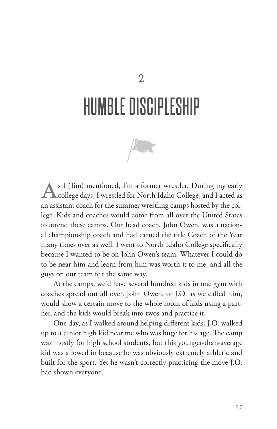# HUMBLE DISCIPLESHIP



S I (Jim) mentioned, I'm a former wrestler. During my early<br>college days, I wrestled for North Idaho College, and I acted as college days, I wrestled for North Idaho College, and I acted as an assistant coach for the summer wrestling camps hosted by the college. Kids and coaches would come from all over the United States to attend these camps. Our head coach, John Owen, was a national championship coach and had earned the title Coach of the Year many times over as well. I went to North Idaho College specifically because I wanted to be on John Owen's team. Whatever I could do to be near him and learn from him was worth it to me, and all the guys on our team felt the same way.

At the camps, we'd have several hundred kids in one gym with coaches spread out all over. John Owen, or J.O. as we called him, would show a certain move to the whole room of kids using a partner, and the kids would break into twos and practice it.

One day, as I walked around helping different kids, J.O. walked up to a junior high kid near me who was huge for his age. The camp was mostly for high school students, but this younger-than-average kid was allowed in because he was obviously extremely athletic and built for the sport. Yet he wasn't correctly practicing the move J.O. had shown everyone.